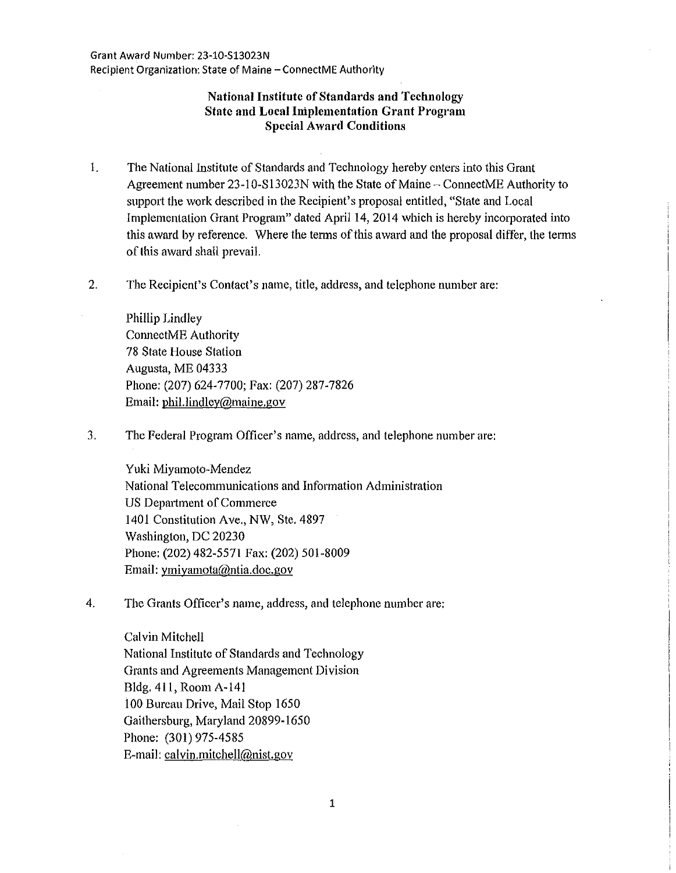# **National Institute of Standards and Technology State and Local lniplemcntation Grant Program Special Award Conditions**

- 1. The National Institute of Standards and Technology hereby enters into this Grant Agreement number 23-1 0-S 13023N with the State of Maine- ConnectME Authority to suppott the work described in the Recipient's proposal entitled, "State and Local Implementation Grant Program" dated April 14, 2014 which is hereby incorporated into this award by reference. Where the terms of this award and the proposal differ, the terms of this award shall prevail.
- 2. The Recipient's Contact's name, title, address, and telephone number are:

Phillip Lindley ConnectME Authority 78 State House Station Augusta, ME 04333 Phone: (207) 624-7700; Fax: (207) 287-7826 Email: phil.lindley@maine.gov

3. The Federal Program Officer's name, address, and telephone number are:

Yuki Miyamoto-Mendez National Telecommunications and Information Administration US Department of Commerce 1401 Constitution Ave., NW, Ste. 4897 Washington, DC 20230 Phone: (202) 482-5571 Fax: (202) 501-8009 Email: ymiyamota@ntia.doc.gov

4. The Grants Officer's name, address, and telephone number are:

Calvin Mitchell National Institute of Standards and Technology Grants and Agreements Management Division Bldg. 411, Room A-141 100 Bureau Drive, Mail Stop 1650 Gaithersburg, Maryland 20899-1650 Phone: (301) 975-4585 E-mail: calvin.mitchell@nist.gov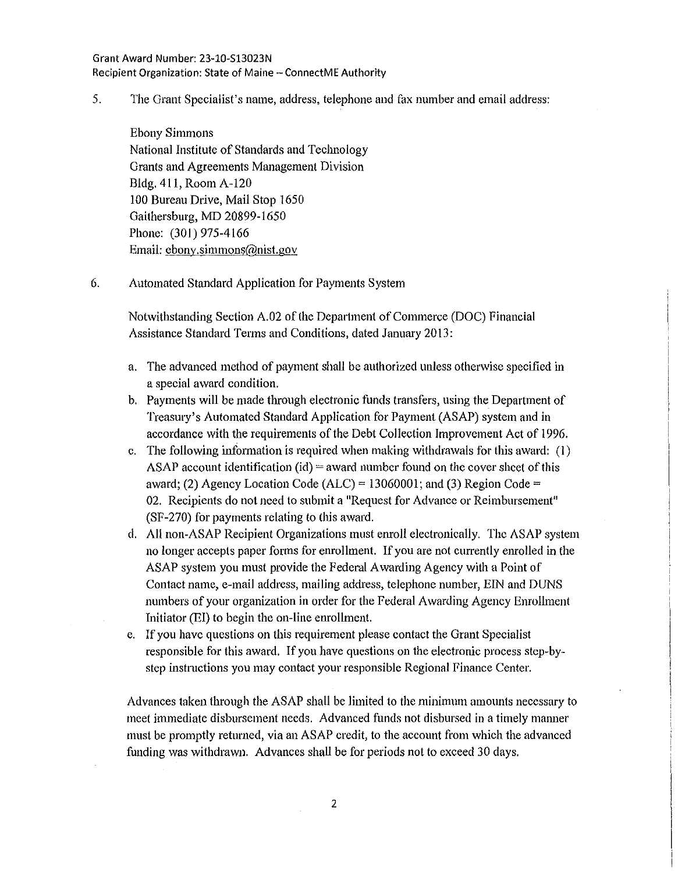### Grant Award Number: 23-10-Sl3023N Recipient Organization: State of Maine- ConnectME Authority

5. The Grant Specialist's name, address, telephone and fax number and email address:

Ebony Simmons National Institute of Standards and Teclmology Grants and Agreements Management Division Bldg. 411, Room A-120 100 Bureau Drive, Mail Stop 1650 Gaithersburg, MD 20899-1650 Phone: (301) 975-4166 Email: ebony.simmons@nist.gov

6. Automated Standard Application for Payments System

Notwithstanding Section A.02 of the Department of Commerce (DOC) Financial Assistance Standard Terms and Conditions, dated January 2013:

- a. The advanced method of payment shall be authorized unless otherwise specified in a special award condition.
- b. Payments will be made through electronic funds transfers, using the Department of Treasury's Automated Standard Application for Payment (ASAP) system and in accordance with the requirements of the Debt Collection Improvement Act of 1996.
- c. The following infommtion is required when making withdrawals for this award: (I) ASAP account identification (id) = award number found on the cover sheet of this award; (2) Agency Location Code (ALC) = 13060001; and (3) Region Code = 02. Recipients do not need to submit a "Request for Advance or Reimbursement" (SF-270) for payments relating to this award.
- d. All non-ASAP Recipient Organizations must enroll electronically. The ASAP system no longer accepts paper forms for enrollment. If you are not currently enrolled in the ASAP system you must provide the Federal Awarding Agency with a Point of Contact name, e-mail address, mailing address, telephone number, EIN and DUNS numbers of your organization in order for the Federal Awarding Agency Enrollment Initiator (EI) to begin the on-line enrollment.
- e. If you have questions on this requirement please contact the Grant Specialist responsible for this award. If you have questions on the electronic process step-bystep instmctions you may contact your responsible Regional Finance Center.

Advances taken through the ASAP shall be limited to the minimum amounts necessary to meet immediate disbursement needs. Advanced funds not disbursed in a timely manner must be promptly returned, via an ASAP credit, to the account from which the advanced funding was withdrawn. Advances shall be for periods not to exceed 30 days.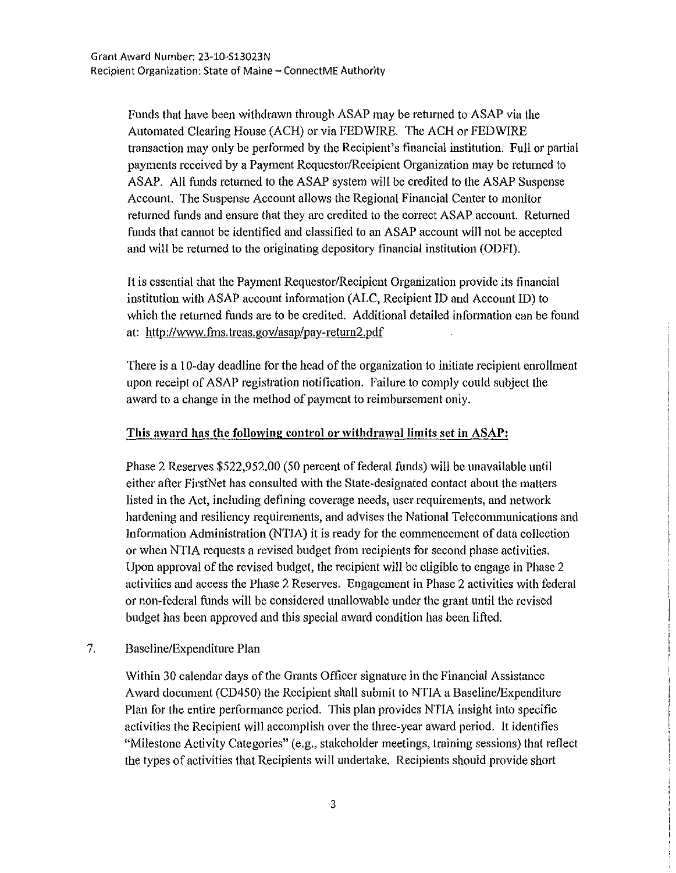Funds that have been withdrawn through ASAP may be returned to ASAP via the Automated Clearing House (ACH) or via FEDWIRE. The ACH or FEDWIRE transaction may only be performed by the Recipient's financial institution. Full or partial payments received by a Payment Requestor/Recipient Organization may be returned to ASAP. All funds returned to the ASAP system will be credited to the ASAP Suspense Account. The Suspense Account allows the Regional Financial Center to monitor returned funds and ensure that they arc credited to the correct ASAP account. Returned funds that cannot be identified and classified to an ASAP account will not be accepted and will be returned to the originating depository financial institution (ODFI).

It is essential that the Payment Requestor/Recipient Organization provide its financial institution with ASAP account infonnation (ALC, Recipient lD and Account !D) to which the returned funds are to be credited. Additional detailed information can be found at: http://www.fms.treas.gov/asap/pay-return2.pdf

There is a I 0-day deadline for the head of the organization to initiate recipient enrollment upon receipt of ASAP registration notification. Failure to comply could subject the award to a change in the method of payment to reimbursement oniy.

# This award has the following control or withdrawal limits set in ASAP:

Phase 2 Reserves \$522,952.00 (50 percent of federal funds) will be unavailable until either after FirstNet has consulted with the State-designated contact about the matters listed in the Act, including defining coverage needs, user requirements, and network hardening and resiliency requirements, and advises the National Telecommunications and Information Administration (NTIA) it is ready for the commencement of data collection or when NTIA requests a revised budget from recipients for second phase activities. Upon approval of the revised budget, the recipient will be eligible to engage in Phase 2 activities and access the Phase 2 Reserves. Engagement in Phase 2 activities with federal or non-federal funds will be considered unallowable under the grant until the revised budget has been approved and this special award condition has been lifted.

# 7. Baseline/Expenditure Plan

Within 30 calendar days of the Grants Officer signature in the Financial Assistance Award document (CD450) the Recipient shall submit to NTIA a Baseline/Expenditure Plan for the entire performance period. This plan provides NTIA insight into specific activities the Recipient will accomplish over the three-year award period. It identifies "Milestone Activity Categories" (e.g., stakeholder meetings, training sessions) that reflect the types of activities that Recipients will undertake. Recipients should provide short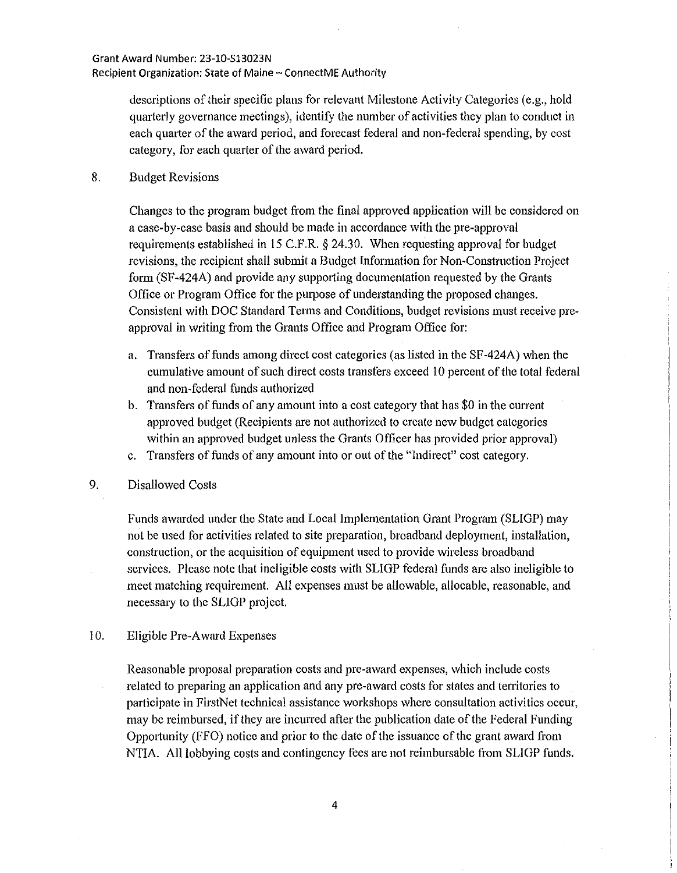descriptions of their specific plans for relevant Milestone Activity Categories (e.g., hold quarterly governance meetings), identify the number of activities they plan to conduct in each quarter of the award period, and forecast federal and non-federal spending, by cost category, for each quarter of the award period.

8. Budget Revisions

Changes to the program budget from the final approved application will be considered on a case-by-case basis and should be made in accordance with the pre-approval requirements established in 15 C.P.R.§ 24.30. When requesting approval for budget revisions, the recipient shall submit a Budget Information for Non-Construction Project form (SF -424A) and provide any supporting documentation requested by the Grants Office or Program Office for the purpose of understanding the proposed changes. Consistent with DOC Standard Terms and Conditions, budget revisions must receive preapproval in writing from the Grants Office and Program Office for:

- a. Transfers offunds among direct cost categories (as listed in the SF -424A) when the cumulative amount of such direct costs transfers exceed I 0 percent of the total federal and non-federal funds authorized
- b. Transfers of funds of any amount into a cost category that has \$0 in the current approved budget (Recipients are not authorized to create new budget categories within an approved budget unless the Grants Officer has provided prior approval)
- c. Transfers of funds of any amount into or out of the "Indirect" cost category.
- 9. Disallowed Costs

Funds awarded under the State and Local Implementation Grant Program (SL!GP) may not be used for activities related to site preparation, broadband deployment, installation, construction, or the acquisition of equipment used to provide wireless broadband services. Please note that ineligible costs with SLIGP federal funds are also ineligible to meet matching requirement. All expenses must be allowable, allocable, reasonable, and necessary to the SL!GP project.

10. Eligible Pre-Award Expenses

Reasonable proposal preparation costs and pre-award expenses, which include costs related to preparing an application and any pre-award costs for states and territories to participate in FirstNet technical assistance workshops where consultation activities occur, may be reimbursed, if they are incurred after the publication date of the Federal Funding Opportunity (FFO) notice and prior to the date of the issuance of the grant award from NTIA. All lobbying costs and contingency fees are not reimbursable from SLIGP funds.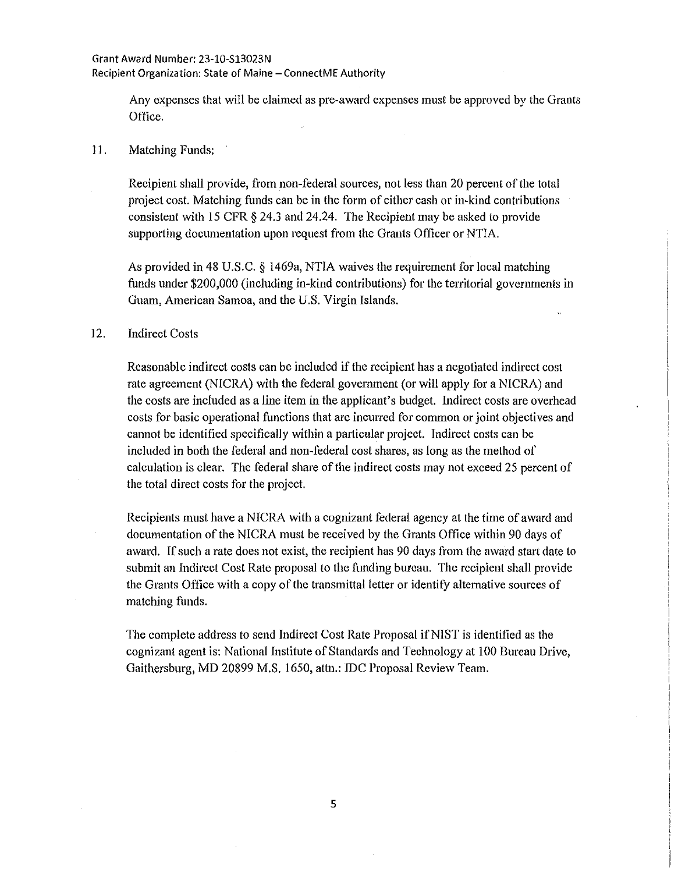Any expenses that will be claimed as pre-award expenses must be approved by the Grants Office.

### 11. Matching Funds:

Recipient shall provide, from non-federal sources, not less than 20 percent of the total project cost. Matching funds can be in the form of either cash or in-kind contributions consistent with 15 CFR § 24.3 and 24.24. The Recipient may be asked to provide supporting documentation upon request from the Grants Officer or NTIA.

As provided in 48 U.S.C. *§* 1469a, NTlA waives the requirement for local matching funds under \$200,000 (including in-kind contributions) for the territorial governments in Guam, American Samoa, and the U.S. Virgin Islands.

### 12. Indirect Costs

Reasonable indirect costs can be included if the recipient has a negotiated indirect cost rate agreement (NICRA) with the federal government (or will apply for a NICRA) and the costs are included as a line item in the applicant's budget. Indirect costs are overhead costs for basic operational functions that are incurred for common or joint objectives and cannot be identified specifically within a particular project. Indirect costs can be included in both the federal and non-federal cost shares, as long as the method of calculation is clear. The federal share of the indirect costs may not exceed 25 percent of the total direct costs for the project.

Recipients must have a NICRA with a cognizant federal agency at the time of award and documentation of the NICRA must be received by the Grants Office within 90 days of award. If such a rate does not exist, the recipient has 90 days from the award start date to submit an Indirect Cost Rate proposal to the ftmding bureau. The recipient shall provide the Grants Office with a copy of the transmittal letter or identify alternative sources of matching funds.

The complete address to send Indirect Cost Rate Proposal if NIST is identified as the cognizant agent is: National Institute of Standards and Technology at I 00 Bureau Drive, Gaithersburg, MD 20899 M.S. 1650, attn.: IDC Proposal Review Team.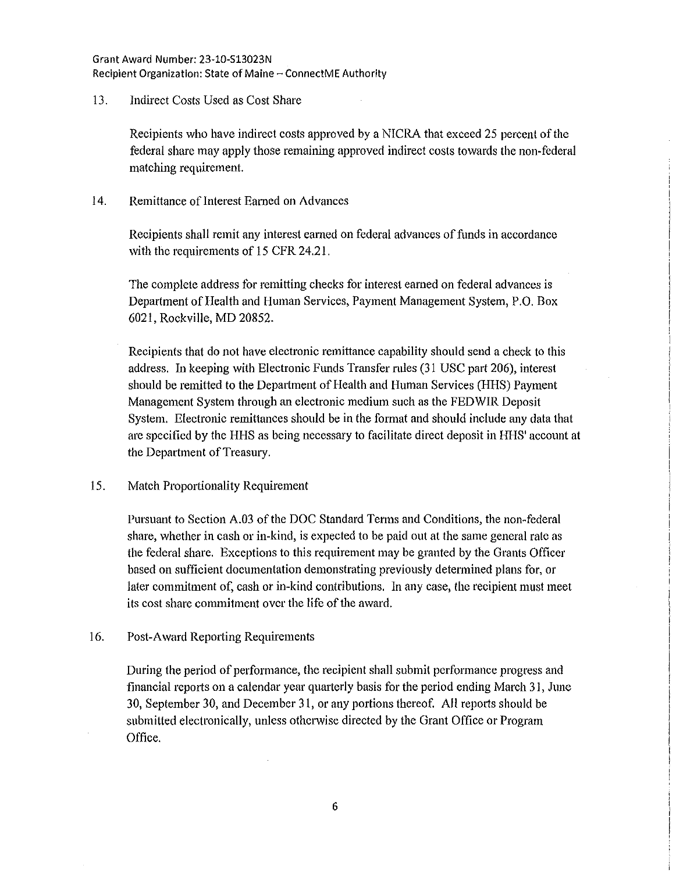### Grant Award Number: 23-10-S13023N Recipient Organization: State of Maine- ConnectME Authority

# 13. Indirect Costs Used as Cost Share

Recipients who have indirect costs approved by a NICRA that exceed 25 percent of the federal share may apply those remaining approved indirect costs towards the non-federal matching requirement.

# 14. Remittance of Interest Eamed on Advances

Recipients shall remit any interest earned on federal advances of funds in accordance with the requirements of 15 CFR 24.21.

The complete address for remitting checks for interest earned on federal advances is Department of Health and Human Services, Payment Management System, P.O. Box 6021, Rockville, MD 20852.

Recipients that do not have electronic remittance capability should send a check to this address. In keeping with Electronic Funds Transfer rules (31 USC part 206), interest should be remitted to the Department of Health and Human Services (HHS) Payment Management System through an electronic medium such as the FEDWIR Deposit System. Electronic remittances should be in the format and should include any data that are specified by the HHS as being necessary to facilitate direct deposit in HHS' account at the Department of Treasury.

# 15. Match Proportionality Requirement

Pursuant to Section A.03 of the DOC Standard Terms and Conditions, the non-federal share, whether in cash or in-kind, is expected to be paid out at the same general rate as the federal share. Exceptions to this requirement may be granted by the Grants Officer based on sufficient documentation demonstrating previously detennined plans for, or later commitment of, cash or in-kind contributions. In any case, the recipient must meet its cost share commitment over the life of the award.

# 16. Post-Award Repotting Requirements

During the period of performance, the recipient shall submit performance progress and financial reports on a calendar year quarterly basis for the period ending March 31, June 30, September 30, and December 31, or any portions thereof. All repotts should be submitted electronically, unless otherwise directed by the Grant Office or Program Office.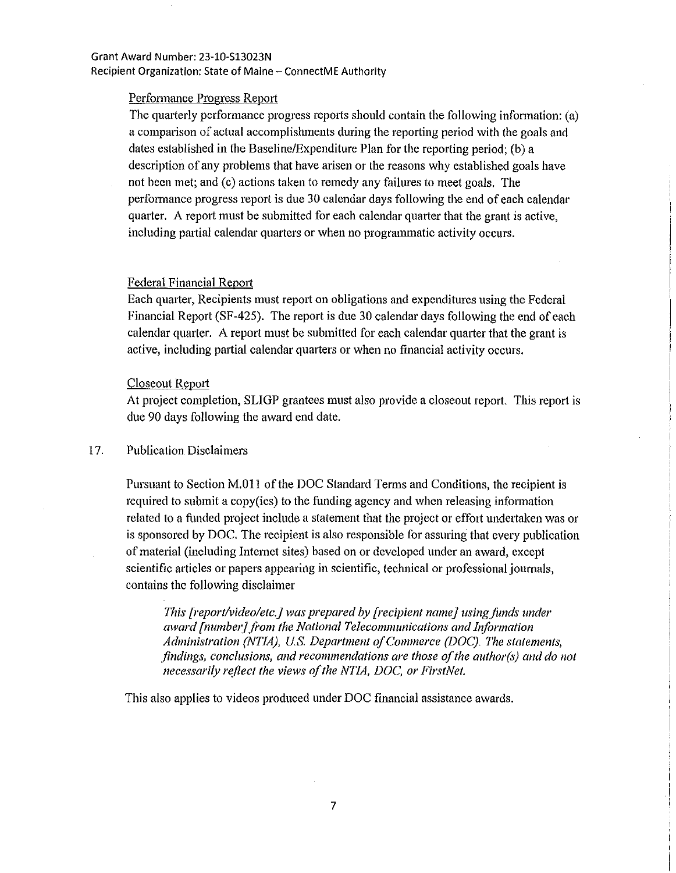## Grant Award Number: 23-10-S13023N Recipient Organization: State of Maine- ConnectME Authority

## Performance Progress Report

The quarterly performance progress reports should contain the following information: (a) a comparison of actual accomplishments during the reporting period with the goals and dates established in the Baseline/Expenditure Plan for the reporting period; (b) a description of any problems that have arisen or the reasons why established goals have not been met; and (c) actions taken to remedy any failures to meet goals. The perfmmance progress report is due 30 calendar days following the end of each calendar quarter. A report must be submitted for each calendar quarter that the grant is active, including partial calendar quarters or when no programmatic activity occurs.

### Federal Financial Report

Each quarter, Recipients must report on obligations and expenditures using the Federal Financial Report (SF-425). The report is due 30 calendar days following the end of each calendar quarter. A report must be submitted for each calendar quarter that the grant is active, including partial calendar quarters or when no financial activity occurs.

## Closeout Report

At project completion, SLIGP grantees must also provide a closeout report. This report is due 90 days following the award end date.

## 17. Publication Disclaimers

Pursuant to Section M.Oll of the DOC Standard Terms and Conditions, the recipient is required to submit a copy(ies) to the funding agency and when releasing infonnation related to a funded project include a statement that the project or effort undertaken was or is sponsored by DOC. The recipient is also responsible for assuring that every publication of material (including Internet sites) based on or developed under an award, except scientific articles or papers appearing in scientific, technical or professional journals, contains the following disclaimer

*This [report/video/etc.] was prepared by [recipient name] using funds under award [numbe1j from the National Telecommunications and Information Administration (NTIA), U.S. Department of Commerce (DOC). The statements, findings, conclusions, and recommendations are those of the author(s) and do not necessarily reflect the views of the NTIA, DOC, or FirstNet.* 

> I .I

This also applies to videos produced under DOC fmancial assistance awards.